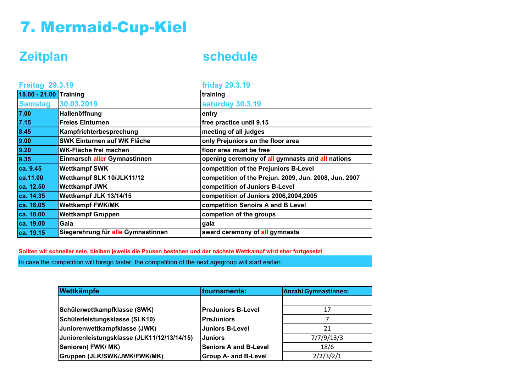## 7. Mermaid-Cup-Kiel

**Zeitplan schedule**

| <b>Freitag 29.3.19</b> |                                    | <b>friday 29.3.19</b>                                 |  |
|------------------------|------------------------------------|-------------------------------------------------------|--|
| 18.00 - 21.00 Training |                                    | training                                              |  |
| <b>Samstag</b>         | 30.03.2019                         | saturday 30.3.19                                      |  |
| 7.00                   | Hallenöffnung                      | entry                                                 |  |
| $7.15$                 | <b>Freies Einturnen</b>            | free practice until 9.15                              |  |
| 8.45                   | Kampfrichterbesprechung            | meeting of all judges                                 |  |
| 9.00                   | <b>SWK Einturnen auf WK Fläche</b> | only Prejuniors on the floor area                     |  |
| 9.20                   | WK-Fläche frei machen              | floor area must be free                               |  |
| 9.35                   | Einmarsch aller Gymnastinnen       | opening ceremony of all gymnasts and all nations      |  |
| ca. 9.45               | <b>Wettkampf SWK</b>               | competition of the Prejuniors B-Level                 |  |
| ca.11.00               | Wettkampf SLK 10/JLK11/12          | competition of the Prejun. 2009, Jun. 2008, Jun. 2007 |  |
| ca. 12.50              | <b>Wettkampf JWK</b>               | competition of Juniors B-Level                        |  |
| ca. 14.35              | Wettkampf JLK 13/14/15             | competition of Juniors 2006,2004,2005                 |  |
| ca. 16.05              | <b>Wettkampf FWK/MK</b>            | competition Senoirs A and B Level                     |  |
| ca. 18.00              | <b>Wettkampf Gruppen</b>           | competion of the groups                               |  |
| ca. 19.00              | Gala                               | gala                                                  |  |
| ca. 19.15              | Siegerehrung für alle Gymnastinnen | award ceremony of all gymnasts                        |  |

**Sollten wir schneller sein, bleiben jeweils die Pausen bestehen und der nächste Wettkampf wird eher fortgesetzt.**

In case the competition will forego faster, the competition of the next agegroup will start earlier.

| Wettkämpfe                                  | tournaments:                 | <b>Anzahl Gymnastinnen:</b> |
|---------------------------------------------|------------------------------|-----------------------------|
|                                             |                              |                             |
| Schülerwettkampfklasse (SWK)                | <b>PreJuniors B-Level</b>    | 17                          |
| Schülerleistungsklasse (SLK10)              | <b>PreJuniors</b>            |                             |
| Juniorenwettkampfklasse (JWK)               | <b>Juniors B-Level</b>       | 21                          |
| Juniorenleistungsklasse (JLK11/12/13/14/15) | <b>Juniors</b>               | 7/7/9/13/3                  |
| Senioren(FWK/MK)                            | <b>Seniors A and B-Level</b> | 18/6                        |
| Gruppen (JLK/SWK/JWK/FWK/MK)                | <b>Group A- and B-Level</b>  | 2/2/3/2/1                   |